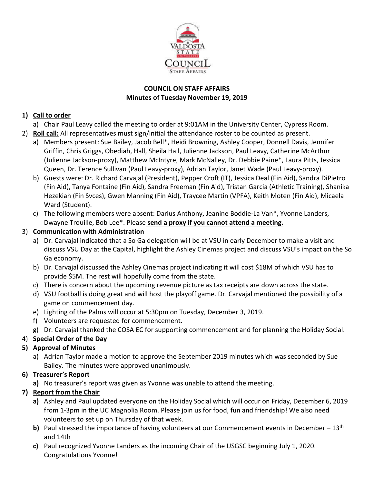

### **COUNCIL ON STAFF AFFAIRS Minutes of Tuesday November 19, 2019**

# **1) Call to order**

- a) Chair Paul Leavy called the meeting to order at 9:01AM in the University Center, Cypress Room.
- 2) **Roll call:** All representatives must sign/initial the attendance roster to be counted as present.
	- a) Members present: Sue Bailey, Jacob Bell\*, Heidi Browning, Ashley Cooper, Donnell Davis, Jennifer Griffin, Chris Griggs, Obediah, Hall, Sheila Hall, Julienne Jackson, Paul Leavy, Catherine McArthur (Julienne Jackson-proxy), Matthew McIntyre, Mark McNalley, Dr. Debbie Paine\*, Laura Pitts, Jessica Queen, Dr. Terence Sullivan (Paul Leavy-proxy), Adrian Taylor, Janet Wade (Paul Leavy-proxy).
	- b) Guests were: Dr. Richard Carvajal (President), Pepper Croft (IT), Jessica Deal (Fin Aid), Sandra DiPietro (Fin Aid), Tanya Fontaine (Fin Aid), Sandra Freeman (Fin Aid), Tristan Garcia (Athletic Training), Shanika Hezekiah (Fin Svces), Gwen Manning (Fin Aid), Traycee Martin (VPFA), Keith Moten (Fin Aid), Micaela Ward (Student).
	- c) The following members were absent: Darius Anthony, Jeanine Boddie-La Van\*, Yvonne Landers, Dwayne Trouille, Bob Lee\*. Please **send a proxy if you cannot attend a meeting.**
- 3) **Communication with Administration**
	- a) Dr. Carvajal indicated that a So Ga delegation will be at VSU in early December to make a visit and discuss VSU Day at the Capital, highlight the Ashley Cinemas project and discuss VSU's impact on the So Ga economy.
	- b) Dr. Carvajal discussed the Ashley Cinemas project indicating it will cost \$18M of which VSU has to provide \$5M. The rest will hopefully come from the state.
	- c) There is concern about the upcoming revenue picture as tax receipts are down across the state.
	- d) VSU football is doing great and will host the playoff game. Dr. Carvajal mentioned the possibility of a game on commencement day.
	- e) Lighting of the Palms will occur at 5:30pm on Tuesday, December 3, 2019.
	- f) Volunteers are requested for commencement.
	- g) Dr. Carvajal thanked the COSA EC for supporting commencement and for planning the Holiday Social.

# 4) **Special Order of the Day**

# **5) Approval of Minutes**

a) Adrian Taylor made a motion to approve the September 2019 minutes which was seconded by Sue Bailey. The minutes were approved unanimously.

# **6) Treasurer's Report**

**a)** No treasurer's report was given as Yvonne was unable to attend the meeting.

# **7) Report from the Chair**

- **a)** Ashley and Paul updated everyone on the Holiday Social which will occur on Friday, December 6, 2019 from 1-3pm in the UC Magnolia Room. Please join us for food, fun and friendship! We also need volunteers to set up on Thursday of that week.
- **b)** Paul stressed the importance of having volunteers at our Commencement events in December 13<sup>th</sup> and 14th
- **c)** Paul recognized Yvonne Landers as the incoming Chair of the USGSC beginning July 1, 2020. Congratulations Yvonne!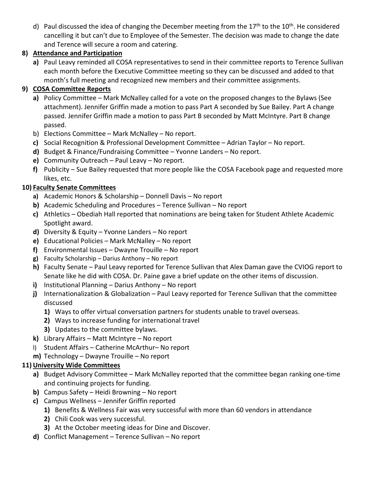d) Paul discussed the idea of changing the December meeting from the 17<sup>th</sup> to the 10<sup>th</sup>. He considered cancelling it but can't due to Employee of the Semester. The decision was made to change the date and Terence will secure a room and catering.

## **8) Attendance and Participation**

**a)** Paul Leavy reminded all COSA representatives to send in their committee reports to Terence Sullivan each month before the Executive Committee meeting so they can be discussed and added to that month's full meeting and recognized new members and their committee assignments.

# **9) COSA Committee Reports**

- **a)** Policy Committee Mark McNalley called for a vote on the proposed changes to the Bylaws (See attachment). Jennifer Griffin made a motion to pass Part A seconded by Sue Bailey. Part A change passed. Jennifer Griffin made a motion to pass Part B seconded by Matt McIntyre. Part B change passed.
- b) Elections Committee Mark McNalley No report.
- **c)** Social Recognition & Professional Development Committee Adrian Taylor No report.
- **d)** Budget & Finance/Fundraising Committee Yvonne Landers No report.
- **e)** Community Outreach Paul Leavy No report.
- **f)** Publicity Sue Bailey requested that more people like the COSA Facebook page and requested more likes, etc.

# **10) Faculty Senate Committees**

- **a)** Academic Honors & Scholarship Donnell Davis No report
- **b)** Academic Scheduling and Procedures Terence Sullivan No report
- **c)** Athletics Obediah Hall reported that nominations are being taken for Student Athlete Academic Spotlight award.
- **d)** Diversity & Equity Yvonne Landers No report
- **e)** Educational Policies Mark McNalley No report
- **f)** Environmental Issues Dwayne Trouille No report
- **g)** Faculty Scholarship Darius Anthony No report
- **h)** Faculty Senate Paul Leavy reported for Terence Sullivan that Alex Daman gave the CVIOG report to Senate like he did with COSA. Dr. Paine gave a brief update on the other items of discussion.
- **i)** Institutional Planning Darius Anthony No report
- **j)** Internationalization & Globalization Paul Leavy reported for Terence Sullivan that the committee discussed
	- **1)** Ways to offer virtual conversation partners for students unable to travel overseas.
	- **2)** Ways to increase funding for international travel
	- **3)** Updates to the committee bylaws.
- **k)** Library Affairs Matt McIntyre No report
- l) Student Affairs Catherine McArthur– No report
- **m)** Technology Dwayne Trouille No report

## **11) University Wide Committees**

- **a)** Budget Advisory Committee Mark McNalley reported that the committee began ranking one-time and continuing projects for funding.
- **b)** Campus Safety Heidi Browning No report
- **c)** Campus Wellness Jennifer Griffin reported
	- **1)** Benefits & Wellness Fair was very successful with more than 60 vendors in attendance
	- **2)** Chili Cook was very successful.
	- **3)** At the October meeting ideas for Dine and Discover.
- **d)** Conflict Management Terence Sullivan No report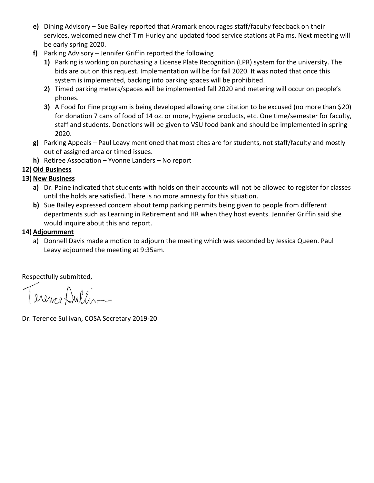- **e)** Dining Advisory Sue Bailey reported that Aramark encourages staff/faculty feedback on their services, welcomed new chef Tim Hurley and updated food service stations at Palms. Next meeting will be early spring 2020.
- **f)** Parking Advisory Jennifer Griffin reported the following
	- **1)** Parking is working on purchasing a License Plate Recognition (LPR) system for the university. The bids are out on this request. Implementation will be for fall 2020. It was noted that once this system is implemented, backing into parking spaces will be prohibited.
	- **2)** Timed parking meters/spaces will be implemented fall 2020 and metering will occur on people's phones.
	- **3)** A Food for Fine program is being developed allowing one citation to be excused (no more than \$20) for donation 7 cans of food of 14 oz. or more, hygiene products, etc. One time/semester for faculty, staff and students. Donations will be given to VSU food bank and should be implemented in spring 2020.
- **g)** Parking Appeals Paul Leavy mentioned that most cites are for students, not staff/faculty and mostly out of assigned area or timed issues.
- **h)** Retiree Association Yvonne Landers No report

## **12)Old Business**

## **13) New Business**

- **a)** Dr. Paine indicated that students with holds on their accounts will not be allowed to register for classes until the holds are satisfied. There is no more amnesty for this situation.
- **b)** Sue Bailey expressed concern about temp parking permits being given to people from different departments such as Learning in Retirement and HR when they host events. Jennifer Griffin said she would inquire about this and report.

### **14) Adjournment**

a) Donnell Davis made a motion to adjourn the meeting which was seconded by Jessica Queen. Paul Leavy adjourned the meeting at 9:35am.

Respectfully submitted,

Terence Dullis

Dr. Terence Sullivan, COSA Secretary 2019-20